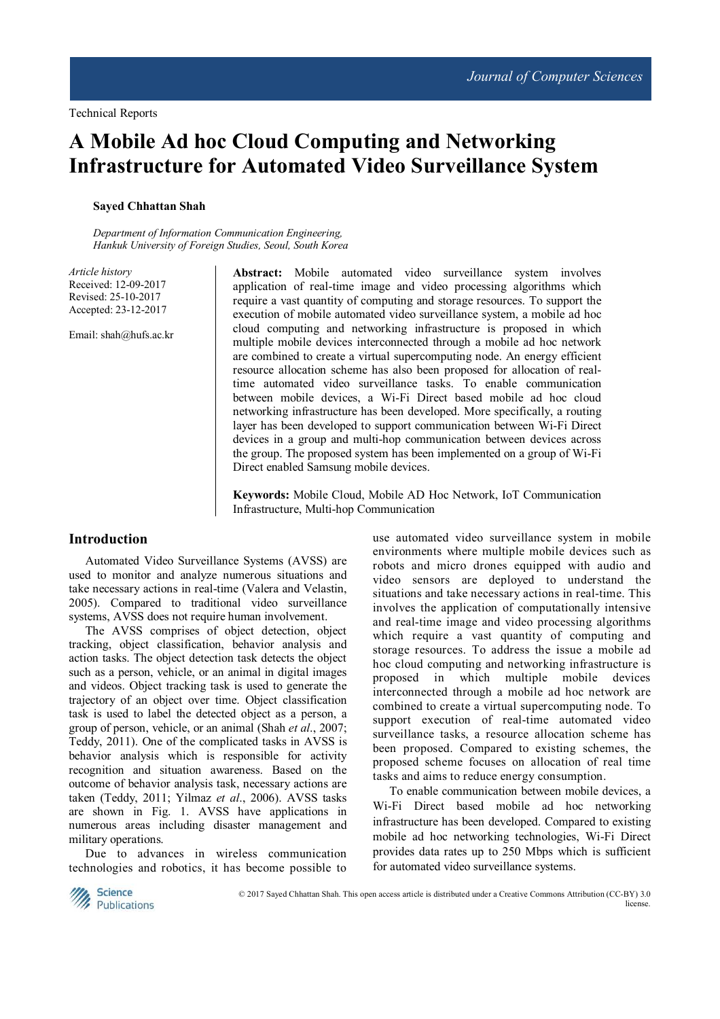# **A Mobile Ad hoc Cloud Computing and Networking Infrastructure for Automated Video Surveillance System**

## **Sayed Chhattan Shah**

*Department of Information Communication Engineering, Hankuk University of Foreign Studies, Seoul, South Korea*

*Article history* Received: 12-09-2017 Revised: 25-10-2017 Accepted: 23-12-2017

Email: shah@hufs.ac.kr

**Abstract:** Mobile automated video surveillance system involves application of real-time image and video processing algorithms which require a vast quantity of computing and storage resources. To support the execution of mobile automated video surveillance system, a mobile ad hoc cloud computing and networking infrastructure is proposed in which multiple mobile devices interconnected through a mobile ad hoc network are combined to create a virtual supercomputing node. An energy efficient resource allocation scheme has also been proposed for allocation of realtime automated video surveillance tasks. To enable communication between mobile devices, a Wi-Fi Direct based mobile ad hoc cloud networking infrastructure has been developed. More specifically, a routing layer has been developed to support communication between Wi-Fi Direct devices in a group and multi-hop communication between devices across the group. The proposed system has been implemented on a group of Wi-Fi Direct enabled Samsung mobile devices.

**Keywords:** Mobile Cloud, Mobile AD Hoc Network, IoT Communication Infrastructure, Multi-hop Communication

# **Introduction**

Automated Video Surveillance Systems (AVSS) are used to monitor and analyze numerous situations and take necessary actions in real-time (Valera and Velastin, 2005). Compared to traditional video surveillance systems, AVSS does not require human involvement.

The AVSS comprises of object detection, object tracking, object classification, behavior analysis and action tasks. The object detection task detects the object such as a person, vehicle, or an animal in digital images and videos. Object tracking task is used to generate the trajectory of an object over time. Object classification task is used to label the detected object as a person, a group of person, vehicle, or an animal (Shah *et al*., 2007; Teddy, 2011). One of the complicated tasks in AVSS is behavior analysis which is responsible for activity recognition and situation awareness. Based on the outcome of behavior analysis task, necessary actions are taken (Teddy, 2011; Yilmaz *et al*., 2006). AVSS tasks are shown in Fig. 1. AVSS have applications in numerous areas including disaster management and military operations.

Due to advances in wireless communication technologies and robotics, it has become possible to

use automated video surveillance system in mobile environments where multiple mobile devices such as robots and micro drones equipped with audio and video sensors are deployed to understand the situations and take necessary actions in real-time. This involves the application of computationally intensive and real-time image and video processing algorithms which require a vast quantity of computing and storage resources. To address the issue a mobile ad hoc cloud computing and networking infrastructure is proposed in which multiple mobile devices interconnected through a mobile ad hoc network are combined to create a virtual supercomputing node. To support execution of real-time automated video surveillance tasks, a resource allocation scheme has been proposed. Compared to existing schemes, the proposed scheme focuses on allocation of real time tasks and aims to reduce energy consumption.

To enable communication between mobile devices, a Wi-Fi Direct based mobile ad hoc networking infrastructure has been developed. Compared to existing mobile ad hoc networking technologies, Wi-Fi Direct provides data rates up to 250 Mbps which is sufficient for automated video surveillance systems.

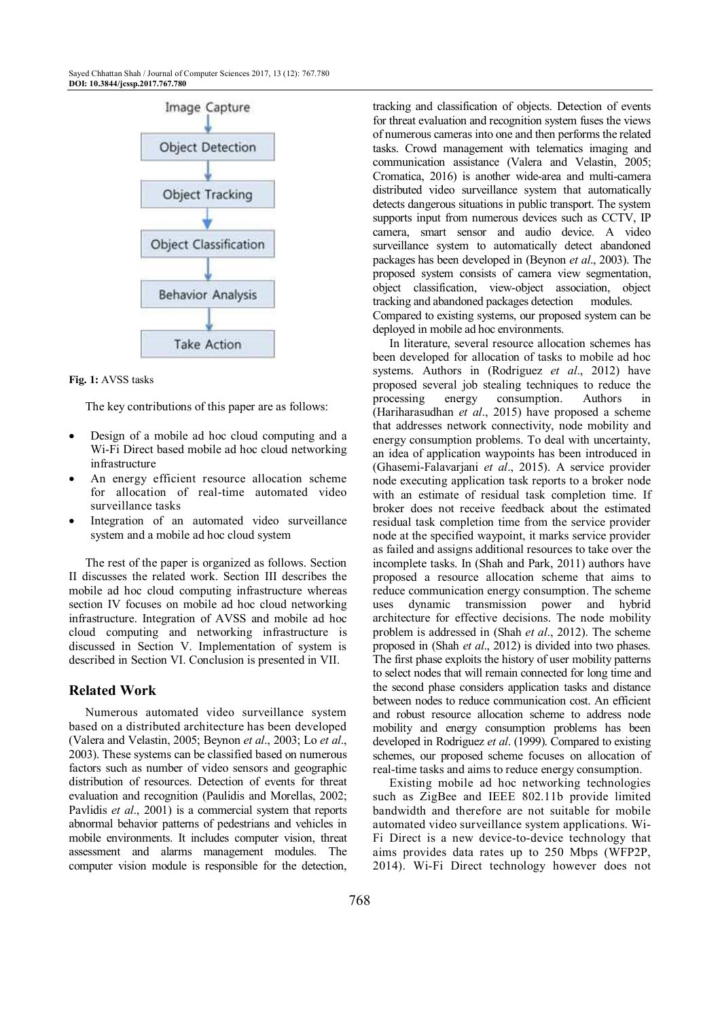

**Fig. 1:** AVSS tasks

The key contributions of this paper are as follows:

- Design of a mobile ad hoc cloud computing and a Wi-Fi Direct based mobile ad hoc cloud networking infrastructure
- An energy efficient resource allocation scheme for allocation of real-time automated video surveillance tasks
- Integration of an automated video surveillance system and a mobile ad hoc cloud system

The rest of the paper is organized as follows. Section II discusses the related work. Section III describes the mobile ad hoc cloud computing infrastructure whereas section IV focuses on mobile ad hoc cloud networking infrastructure. Integration of AVSS and mobile ad hoc cloud computing and networking infrastructure is discussed in Section V. Implementation of system is described in Section VI. Conclusion is presented in VII.

# **Related Work**

Numerous automated video surveillance system based on a distributed architecture has been developed (Valera and Velastin, 2005; Beynon *et al*., 2003; Lo *et al*., 2003). These systems can be classified based on numerous factors such as number of video sensors and geographic distribution of resources. Detection of events for threat evaluation and recognition (Paulidis and Morellas, 2002; Pavlidis *et al*., 2001) is a commercial system that reports abnormal behavior patterns of pedestrians and vehicles in mobile environments. It includes computer vision, threat assessment and alarms management modules. The computer vision module is responsible for the detection,

tracking and classification of objects. Detection of events for threat evaluation and recognition system fuses the views of numerous cameras into one and then performs the related tasks. Crowd management with telematics imaging and communication assistance (Valera and Velastin, 2005; Cromatica, 2016) is another wide-area and multi-camera distributed video surveillance system that automatically detects dangerous situations in public transport. The system supports input from numerous devices such as CCTV, IP camera, smart sensor and audio device. A video surveillance system to automatically detect abandoned packages has been developed in (Beynon *et al*., 2003). The proposed system consists of camera view segmentation, object classification, view-object association, object tracking and abandoned packages detection modules. Compared to existing systems, our proposed system can be deployed in mobile ad hoc environments.

In literature, several resource allocation schemes has been developed for allocation of tasks to mobile ad hoc systems. Authors in (Rodriguez *et al*., 2012) have proposed several job stealing techniques to reduce the processing energy consumption. Authors in (Hariharasudhan *et al*., 2015) have proposed a scheme that addresses network connectivity, node mobility and energy consumption problems. To deal with uncertainty, an idea of application waypoints has been introduced in (Ghasemi-Falavarjani *et al*., 2015). A service provider node executing application task reports to a broker node with an estimate of residual task completion time. If broker does not receive feedback about the estimated residual task completion time from the service provider node at the specified waypoint, it marks service provider as failed and assigns additional resources to take over the incomplete tasks. In (Shah and Park, 2011) authors have proposed a resource allocation scheme that aims to reduce communication energy consumption. The scheme uses dynamic transmission power and hybrid architecture for effective decisions. The node mobility problem is addressed in (Shah *et al*., 2012). The scheme proposed in (Shah *et al*., 2012) is divided into two phases. The first phase exploits the history of user mobility patterns to select nodes that will remain connected for long time and the second phase considers application tasks and distance between nodes to reduce communication cost. An efficient and robust resource allocation scheme to address node mobility and energy consumption problems has been developed in Rodriguez *et al*. (1999). Compared to existing schemes, our proposed scheme focuses on allocation of real-time tasks and aims to reduce energy consumption.

Existing mobile ad hoc networking technologies such as ZigBee and IEEE 802.11b provide limited bandwidth and therefore are not suitable for mobile automated video surveillance system applications. Wi-Fi Direct is a new device-to-device technology that aims provides data rates up to 250 Mbps (WFP2P, 2014). Wi-Fi Direct technology however does not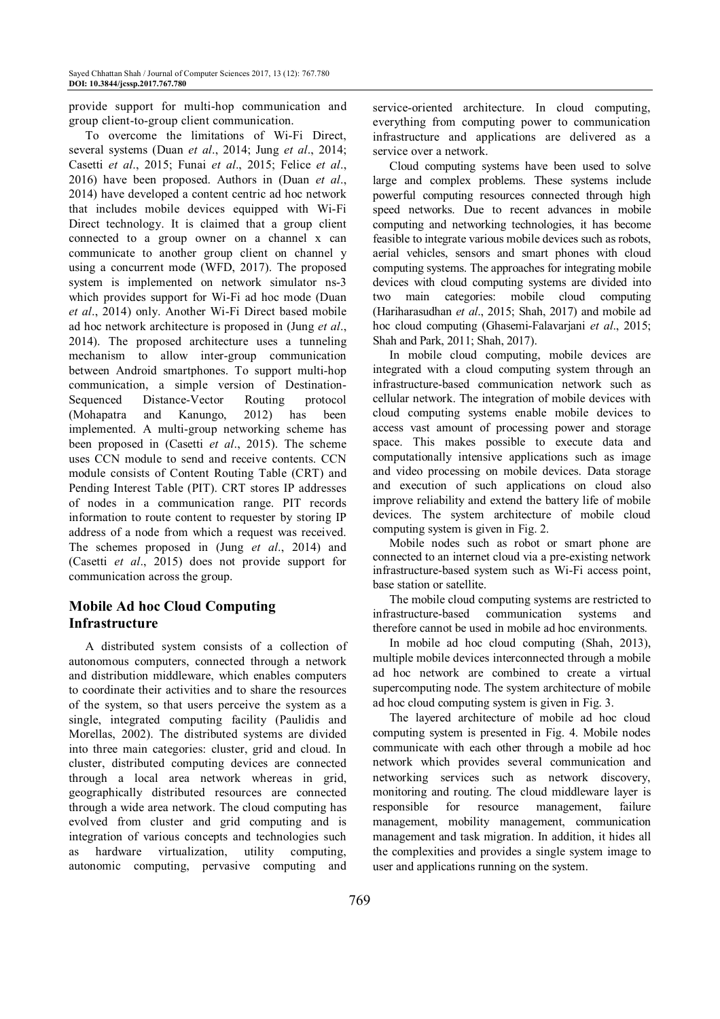provide support for multi-hop communication and group client-to-group client communication.

To overcome the limitations of Wi-Fi Direct, several systems (Duan *et al*., 2014; Jung *et al*., 2014; Casetti *et al*., 2015; Funai *et al*., 2015; Felice *et al*., 2016) have been proposed. Authors in (Duan *et al*., 2014) have developed a content centric ad hoc network that includes mobile devices equipped with Wi-Fi Direct technology. It is claimed that a group client connected to a group owner on a channel x can communicate to another group client on channel y using a concurrent mode (WFD, 2017). The proposed system is implemented on network simulator ns-3 which provides support for Wi-Fi ad hoc mode (Duan *et al*., 2014) only. Another Wi-Fi Direct based mobile ad hoc network architecture is proposed in (Jung *et al*., 2014). The proposed architecture uses a tunneling mechanism to allow inter-group communication between Android smartphones. To support multi-hop communication, a simple version of Destination-Sequenced Distance-Vector Routing protocol (Mohapatra and Kanungo, 2012) has been implemented. A multi-group networking scheme has been proposed in (Casetti *et al*., 2015). The scheme uses CCN module to send and receive contents. CCN module consists of Content Routing Table (CRT) and Pending Interest Table (PIT). CRT stores IP addresses of nodes in a communication range. PIT records information to route content to requester by storing IP address of a node from which a request was received. The schemes proposed in (Jung *et al*., 2014) and (Casetti *et al*., 2015) does not provide support for communication across the group.

# **Mobile Ad hoc Cloud Computing Infrastructure**

A distributed system consists of a collection of autonomous computers, connected through a network and distribution middleware, which enables computers to coordinate their activities and to share the resources of the system, so that users perceive the system as a single, integrated computing facility (Paulidis and Morellas, 2002). The distributed systems are divided into three main categories: cluster, grid and cloud. In cluster, distributed computing devices are connected through a local area network whereas in grid, geographically distributed resources are connected through a wide area network. The cloud computing has evolved from cluster and grid computing and is integration of various concepts and technologies such as hardware virtualization, utility computing, autonomic computing, pervasive computing and

service-oriented architecture. In cloud computing, everything from computing power to communication infrastructure and applications are delivered as a service over a network.

Cloud computing systems have been used to solve large and complex problems. These systems include powerful computing resources connected through high speed networks. Due to recent advances in mobile computing and networking technologies, it has become feasible to integrate various mobile devices such as robots, aerial vehicles, sensors and smart phones with cloud computing systems. The approaches for integrating mobile devices with cloud computing systems are divided into two main categories: mobile cloud computing (Hariharasudhan *et al*., 2015; Shah, 2017) and mobile ad hoc cloud computing (Ghasemi-Falavarjani *et al*., 2015; Shah and Park, 2011; Shah, 2017).

In mobile cloud computing, mobile devices are integrated with a cloud computing system through an infrastructure-based communication network such as cellular network. The integration of mobile devices with cloud computing systems enable mobile devices to access vast amount of processing power and storage space. This makes possible to execute data and computationally intensive applications such as image and video processing on mobile devices. Data storage and execution of such applications on cloud also improve reliability and extend the battery life of mobile devices. The system architecture of mobile cloud computing system is given in Fig. 2.

Mobile nodes such as robot or smart phone are connected to an internet cloud via a pre-existing network infrastructure-based system such as Wi-Fi access point, base station or satellite.

The mobile cloud computing systems are restricted to infrastructure-based communication systems and therefore cannot be used in mobile ad hoc environments.

In mobile ad hoc cloud computing (Shah, 2013), multiple mobile devices interconnected through a mobile ad hoc network are combined to create a virtual supercomputing node. The system architecture of mobile ad hoc cloud computing system is given in Fig. 3.

The layered architecture of mobile ad hoc cloud computing system is presented in Fig. 4. Mobile nodes communicate with each other through a mobile ad hoc network which provides several communication and networking services such as network discovery, monitoring and routing. The cloud middleware layer is responsible for resource management, failure management, mobility management, communication management and task migration. In addition, it hides all the complexities and provides a single system image to user and applications running on the system.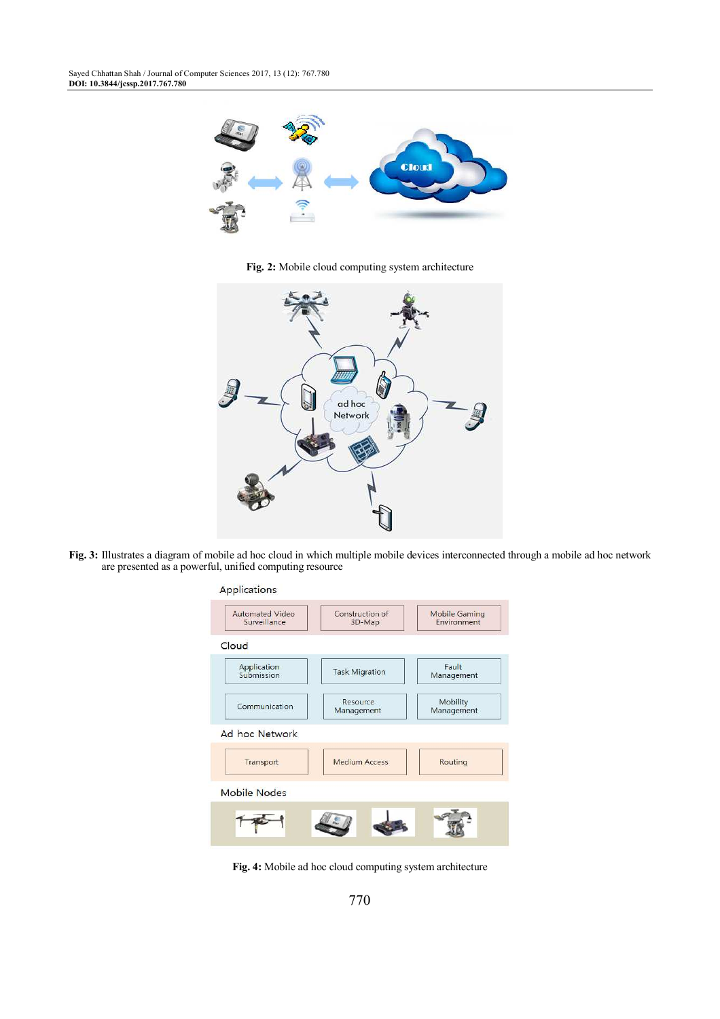

**Fig. 2:** Mobile cloud computing system architecture



**Fig. 3:** Illustrates a diagram of mobile ad hoc cloud in which multiple mobile devices interconnected through a mobile ad hoc network are presented as a powerful, unified computing resource

| Applications                           |                           |                                     |  |  |
|----------------------------------------|---------------------------|-------------------------------------|--|--|
| <b>Automated Video</b><br>Surveillance | Construction of<br>3D-Map | <b>Mobile Gaming</b><br>Environment |  |  |
| Cloud                                  |                           |                                     |  |  |
| Application<br>Submission              | <b>Task Migration</b>     | Fault<br>Management                 |  |  |
| Communication                          | Resource<br>Management    | Mobility<br>Management              |  |  |
| Ad hoc Network                         |                           |                                     |  |  |
| Transport                              | <b>Medium Access</b>      | Routing                             |  |  |
| <b>Mobile Nodes</b>                    |                           |                                     |  |  |
|                                        |                           |                                     |  |  |

**Fig. 4:** Mobile ad hoc cloud computing system architecture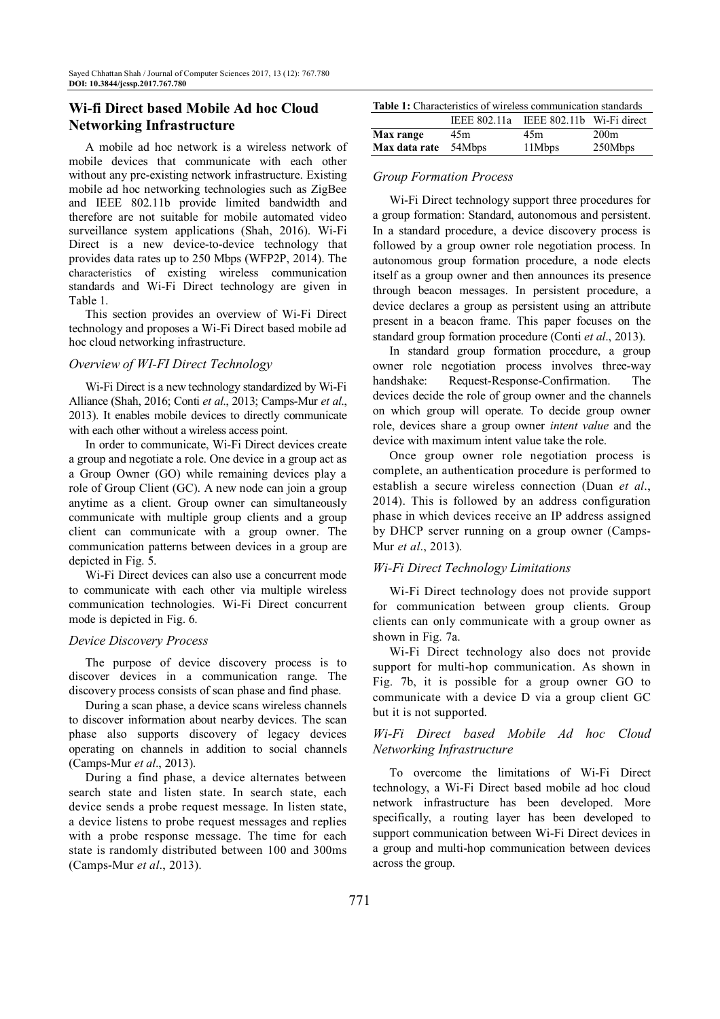# **Wi-fi Direct based Mobile Ad hoc Cloud Networking Infrastructure**

A mobile ad hoc network is a wireless network of mobile devices that communicate with each other without any pre-existing network infrastructure. Existing mobile ad hoc networking technologies such as ZigBee and IEEE 802.11b provide limited bandwidth and therefore are not suitable for mobile automated video surveillance system applications (Shah, 2016). Wi-Fi Direct is a new device-to-device technology that provides data rates up to 250 Mbps (WFP2P, 2014). The characteristics of existing wireless communication standards and Wi-Fi Direct technology are given in Table 1.

This section provides an overview of Wi-Fi Direct technology and proposes a Wi-Fi Direct based mobile ad hoc cloud networking infrastructure.

# *Overview of WI-FI Direct Technology*

Wi-Fi Direct is a new technology standardized by Wi-Fi Alliance (Shah, 2016; Conti *et al*., 2013; Camps-Mur *et al*., 2013). It enables mobile devices to directly communicate with each other without a wireless access point.

In order to communicate, Wi-Fi Direct devices create a group and negotiate a role. One device in a group act as a Group Owner (GO) while remaining devices play a role of Group Client (GC). A new node can join a group anytime as a client. Group owner can simultaneously communicate with multiple group clients and a group client can communicate with a group owner. The communication patterns between devices in a group are depicted in Fig. 5.

Wi-Fi Direct devices can also use a concurrent mode to communicate with each other via multiple wireless communication technologies. Wi-Fi Direct concurrent mode is depicted in Fig. 6.

# *Device Discovery Process*

The purpose of device discovery process is to discover devices in a communication range. The discovery process consists of scan phase and find phase.

During a scan phase, a device scans wireless channels to discover information about nearby devices. The scan phase also supports discovery of legacy devices operating on channels in addition to social channels (Camps-Mur *et al*., 2013).

During a find phase, a device alternates between search state and listen state. In search state, each device sends a probe request message. In listen state, a device listens to probe request messages and replies with a probe response message. The time for each state is randomly distributed between 100 and 300ms (Camps-Mur *et al*., 2013).

| <b>Table 1:</b> Characteristics of wireless communication standards |        |                                            |         |  |  |
|---------------------------------------------------------------------|--------|--------------------------------------------|---------|--|--|
|                                                                     |        | IEEE $802.11a$ IEEE $802.11b$ Wi-Fi direct |         |  |  |
| <b>Max</b> range                                                    | 45m    | 45m                                        | 200m    |  |  |
| Max data rate                                                       | 54Mbps | 11Mbps                                     | 250Mbps |  |  |

## *Group Formation Process*

Wi-Fi Direct technology support three procedures for a group formation: Standard, autonomous and persistent. In a standard procedure, a device discovery process is followed by a group owner role negotiation process. In autonomous group formation procedure, a node elects itself as a group owner and then announces its presence through beacon messages. In persistent procedure, a device declares a group as persistent using an attribute present in a beacon frame. This paper focuses on the standard group formation procedure (Conti *et al*., 2013).

In standard group formation procedure, a group owner role negotiation process involves three-way handshake: Request-Response-Confirmation. The devices decide the role of group owner and the channels on which group will operate. To decide group owner role, devices share a group owner *intent value* and the device with maximum intent value take the role.

Once group owner role negotiation process is complete, an authentication procedure is performed to establish a secure wireless connection (Duan *et al*., 2014). This is followed by an address configuration phase in which devices receive an IP address assigned by DHCP server running on a group owner (Camps-Mur *et al*., 2013).

# *Wi-Fi Direct Technology Limitations*

Wi-Fi Direct technology does not provide support for communication between group clients. Group clients can only communicate with a group owner as shown in Fig. 7a.

Wi-Fi Direct technology also does not provide support for multi-hop communication. As shown in Fig. 7b, it is possible for a group owner GO to communicate with a device D via a group client GC but it is not supported.

# *Wi-Fi Direct based Mobile Ad hoc Cloud Networking Infrastructure*

To overcome the limitations of Wi-Fi Direct technology, a Wi-Fi Direct based mobile ad hoc cloud network infrastructure has been developed. More specifically, a routing layer has been developed to support communication between Wi-Fi Direct devices in a group and multi-hop communication between devices across the group.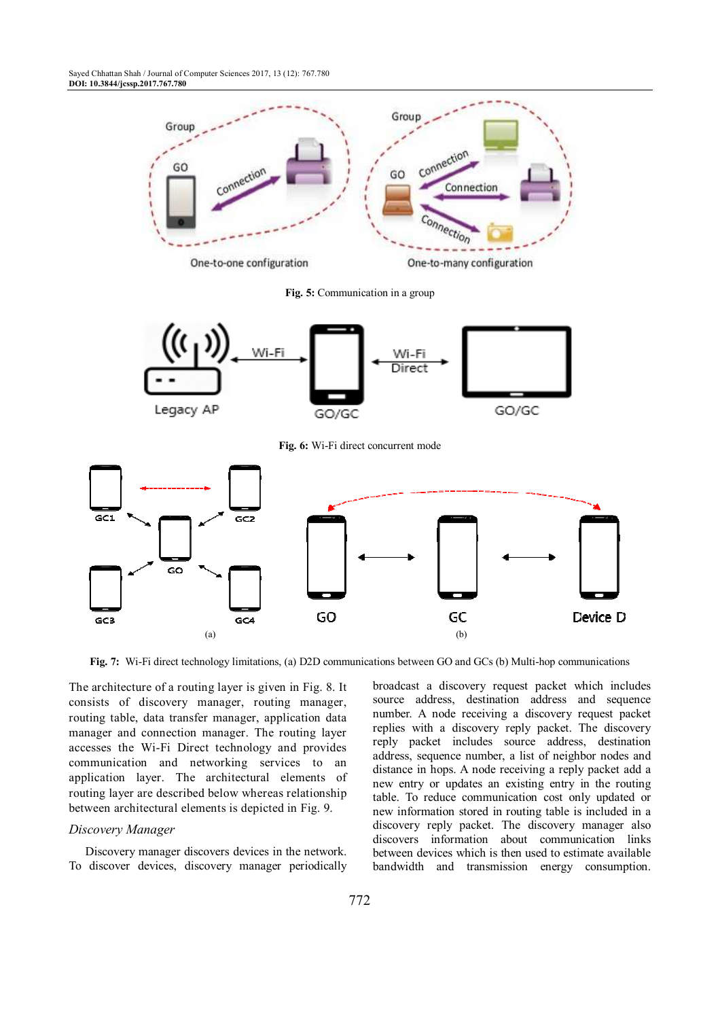

**Fig. 5:** Communication in a group



**Fig. 6:** Wi-Fi direct concurrent mode



**Fig. 7:** Wi-Fi direct technology limitations, (a) D2D communications between GO and GCs (b) Multi-hop communications

The architecture of a routing layer is given in Fig. 8. It consists of discovery manager, routing manager, routing table, data transfer manager, application data manager and connection manager. The routing layer accesses the Wi-Fi Direct technology and provides communication and networking services to an application layer. The architectural elements of routing layer are described below whereas relationship between architectural elements is depicted in Fig. 9.

# *Discovery Manager*

Discovery manager discovers devices in the network. To discover devices, discovery manager periodically broadcast a discovery request packet which includes source address, destination address and sequence number. A node receiving a discovery request packet replies with a discovery reply packet. The discovery reply packet includes source address, destination address, sequence number, a list of neighbor nodes and distance in hops. A node receiving a reply packet add a new entry or updates an existing entry in the routing table. To reduce communication cost only updated or new information stored in routing table is included in a discovery reply packet. The discovery manager also discovers information about communication links between devices which is then used to estimate available bandwidth and transmission energy consumption.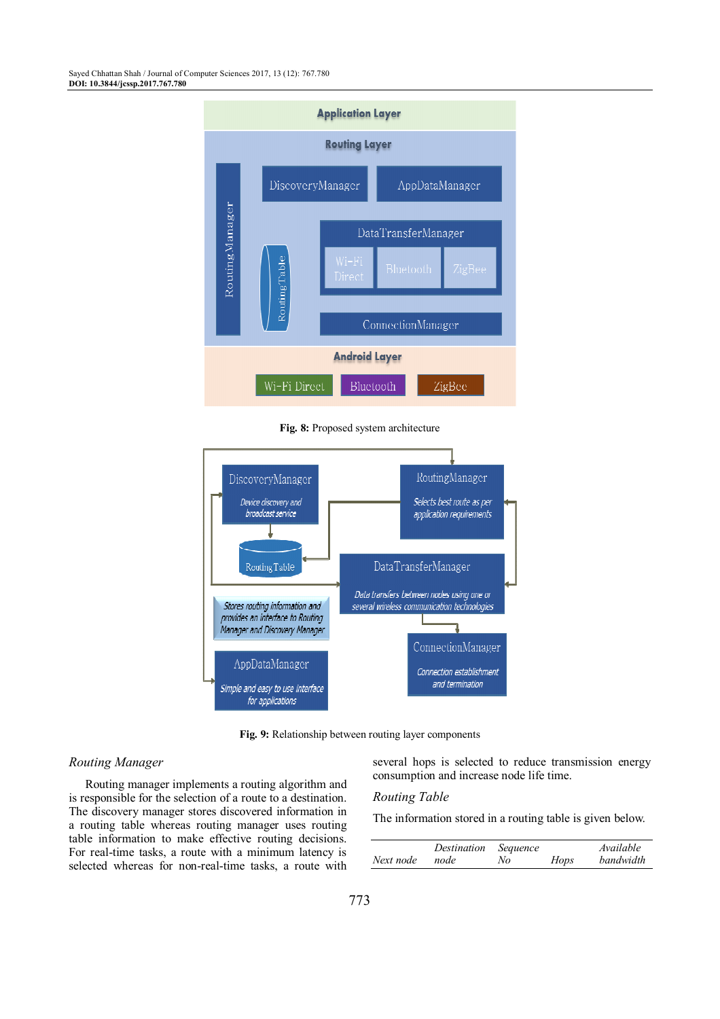

**Fig. 8:** Proposed system architecture



**Fig. 9:** Relationship between routing layer components

# *Routing Manager*

Routing manager implements a routing algorithm and is responsible for the selection of a route to a destination. The discovery manager stores discovered information in a routing table whereas routing manager uses routing table information to make effective routing decisions. For real-time tasks, a route with a minimum latency is selected whereas for non-real-time tasks, a route with several hops is selected to reduce transmission energy consumption and increase node life time.

#### *Routing Table*

The information stored in a routing table is given below.

|           | Destination Sequence |    |      | Available |
|-----------|----------------------|----|------|-----------|
| Next node | node                 | No | Hops | bandwidth |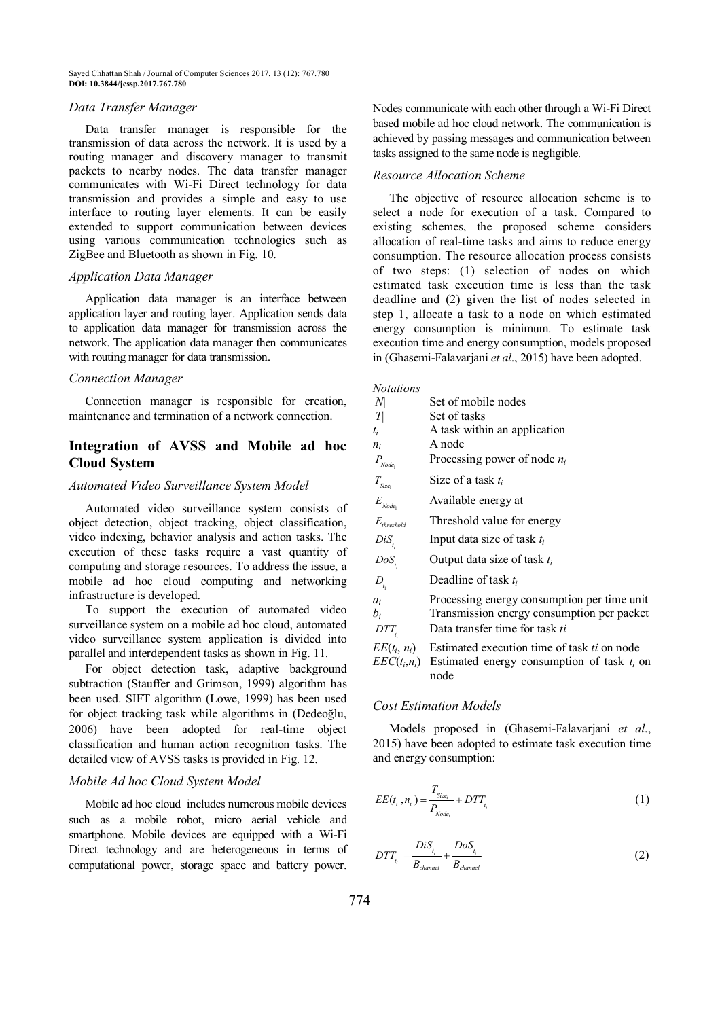#### *Data Transfer Manager*

Data transfer manager is responsible for the transmission of data across the network. It is used by a routing manager and discovery manager to transmit packets to nearby nodes. The data transfer manager communicates with Wi-Fi Direct technology for data transmission and provides a simple and easy to use interface to routing layer elements. It can be easily extended to support communication between devices using various communication technologies such as ZigBee and Bluetooth as shown in Fig. 10.

#### *Application Data Manager*

Application data manager is an interface between application layer and routing layer. Application sends data to application data manager for transmission across the network. The application data manager then communicates with routing manager for data transmission.

#### *Connection Manager*

Connection manager is responsible for creation, maintenance and termination of a network connection.

# **Integration of AVSS and Mobile ad hoc Cloud System**

## *Automated Video Surveillance System Model*

Automated video surveillance system consists of object detection, object tracking, object classification, video indexing, behavior analysis and action tasks. The execution of these tasks require a vast quantity of computing and storage resources. To address the issue, a mobile ad hoc cloud computing and networking infrastructure is developed.

To support the execution of automated video surveillance system on a mobile ad hoc cloud, automated video surveillance system application is divided into parallel and interdependent tasks as shown in Fig. 11.

For object detection task, adaptive background subtraction (Stauffer and Grimson, 1999) algorithm has been used. SIFT algorithm (Lowe, 1999) has been used for object tracking task while algorithms in (Dedeoğlu, 2006) have been adopted for real-time object classification and human action recognition tasks. The detailed view of AVSS tasks is provided in Fig. 12.

## *Mobile Ad hoc Cloud System Model*

Mobile ad hoc cloud includes numerous mobile devices such as a mobile robot, micro aerial vehicle and smartphone. Mobile devices are equipped with a Wi-Fi Direct technology and are heterogeneous in terms of computational power, storage space and battery power.

Nodes communicate with each other through a Wi-Fi Direct based mobile ad hoc cloud network. The communication is achieved by passing messages and communication between tasks assigned to the same node is negligible.

#### *Resource Allocation Scheme*

The objective of resource allocation scheme is to select a node for execution of a task. Compared to existing schemes, the proposed scheme considers allocation of real-time tasks and aims to reduce energy consumption. The resource allocation process consists of two steps: (1) selection of nodes on which estimated task execution time is less than the task deadline and (2) given the list of nodes selected in step 1, allocate a task to a node on which estimated energy consumption is minimum. To estimate task execution time and energy consumption, models proposed in (Ghasemi-Falavarjani *et al*., 2015) have been adopted.

#### *Notations*

| $\left  N \right $                    | Set of mobile nodes                                                                                         |
|---------------------------------------|-------------------------------------------------------------------------------------------------------------|
| T                                     | Set of tasks                                                                                                |
| $t_i$                                 | A task within an application                                                                                |
| $n_i$                                 | A node                                                                                                      |
| $P_{Node_1}$                          | Processing power of node $n_i$                                                                              |
| $T_{\scriptscriptstyle Size_{\rm I}}$ | Size of a task $t_i$                                                                                        |
| $E_{\rm \textit{Node}_1}$             | Available energy at                                                                                         |
| $E_{\text{threshold}}$                | Threshold value for energy                                                                                  |
| $Dis_{i}$                             | Input data size of task $t_i$                                                                               |
| $DoS_{\iota}$                         | Output data size of task $t_i$                                                                              |
| $D_{_{t_i}}$                          | Deadline of task $t_i$                                                                                      |
| $a_i$<br>$b_i$                        | Processing energy consumption per time unit<br>Transmission energy consumption per packet                   |
| $DTT_{t_1}$                           | Data transfer time for task ti                                                                              |
| $EE(t_i, n_i)$<br>$EEC(t_i,n_i)$      | Estimated execution time of task <i>ti</i> on node<br>Estimated energy consumption of task $t_i$ on<br>node |

## *Cost Estimation Models*

Models proposed in (Ghasemi-Falavarjani *et al*., 2015) have been adopted to estimate task execution time and energy consumption:

$$
EE(t_i, n_i) = \frac{T_{\text{Size}_i}}{P_{\text{Node}_i}} + DTT_{t_i}
$$
\n(1)

$$
DTT_{t_i} = \frac{Dis_{t_i}}{B_{channel}} + \frac{DoS_{t_i}}{B_{channel}}
$$
 (2)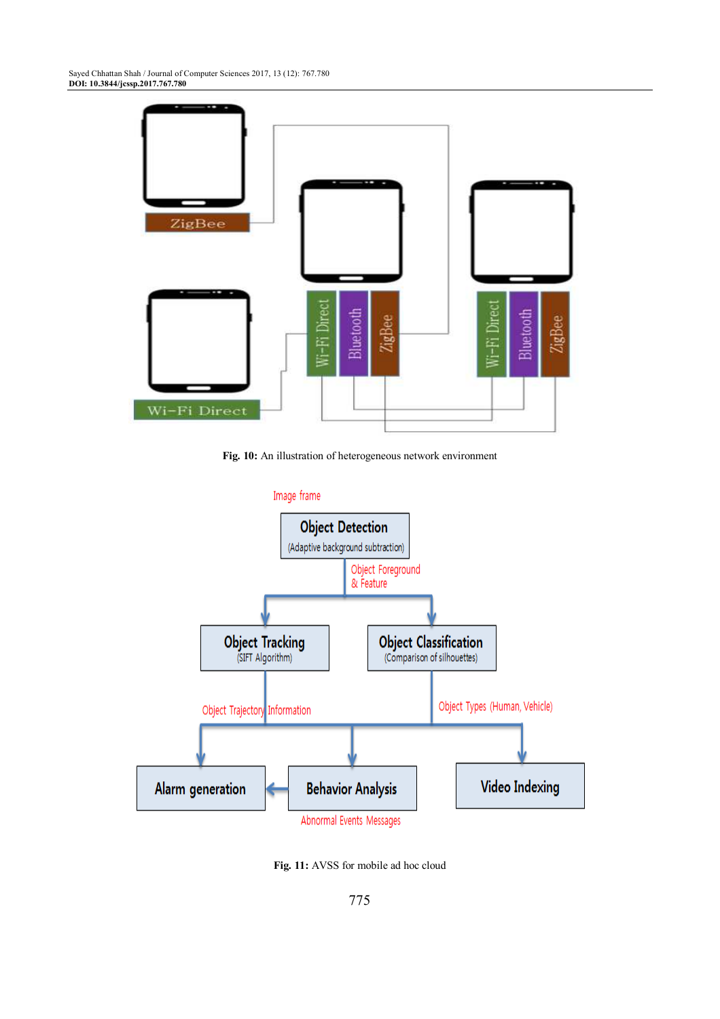

**Fig. 10:** An illustration of heterogeneous network environment



**Fig. 11:** AVSS for mobile ad hoc cloud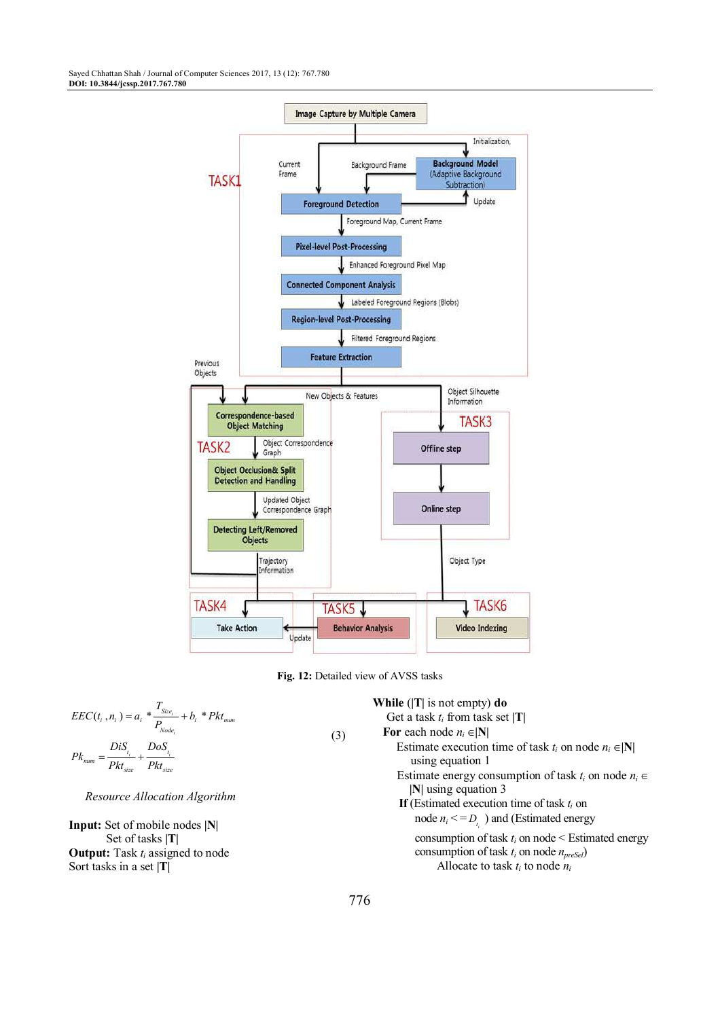

**Fig. 12:** Detailed view of AVSS tasks

(3)

$$
EEC(t_i, n_i) = a_i * \frac{T_{Size_i}}{P_{Node_i}} + b_i * Pkt_{num}
$$

$$
Pk_{num} = \frac{Dis_{t_i}}{Pkt_{size}} + \frac{DoS_{t_i}}{Pkt_{size}}
$$

*Resource Allocation Algorithm* 

**Input:** Set of mobile nodes **|N|**  Set of tasks **|T| Output:** Task  $t_i$  assigned to node Sort tasks in a set **|T|**

While ([T] is not empty) do

\nGet a task 
$$
t_i
$$
 from task set |T|

\nFor each node  $n_i \in [N]$ 

\nEstimate execution time of task  $t_i$  on node  $n_i \in [N]$ 

\nusing equation 1

\nEstimate energy consumption of task  $t_i$  on node  $n_i \in [N]$  using equation 3

\nIf (Estimated execution time of task  $t_i$  on node  $n_i <= D_{t_i}$ ) and (Estimated energy consumption of task  $t_i$  on node < Estimated energy consumption of task  $t_i$  on node  $n_{\text{preSel}}$ )

\nAllow to task  $t_i$  to node  $n_i$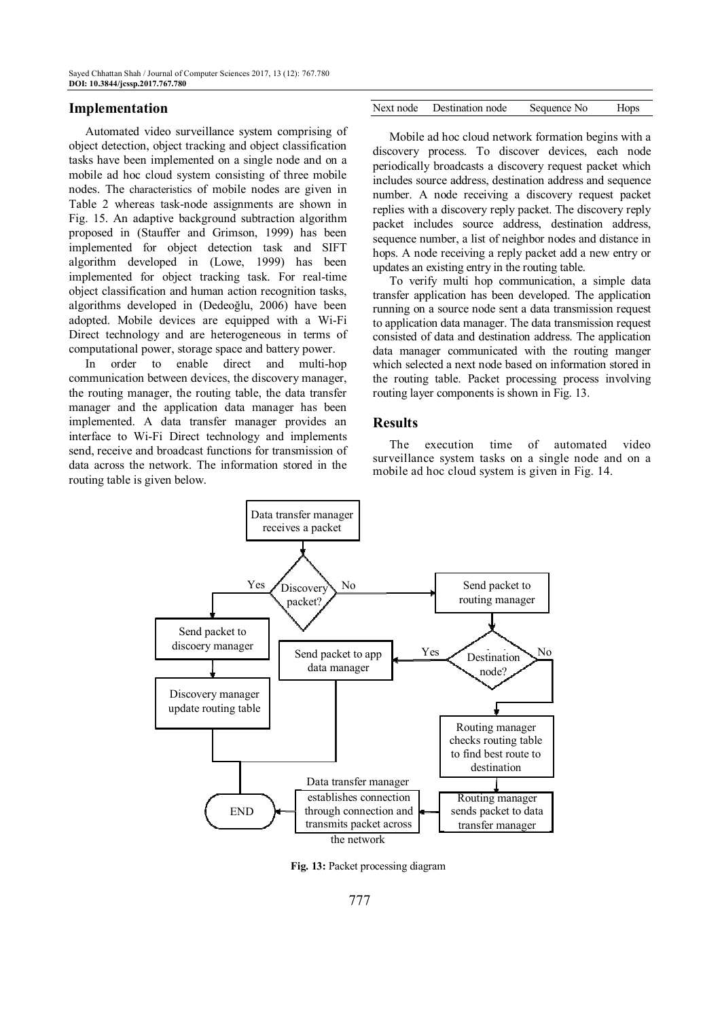# **Implementation**

Automated video surveillance system comprising of object detection, object tracking and object classification tasks have been implemented on a single node and on a mobile ad hoc cloud system consisting of three mobile nodes. The characteristics of mobile nodes are given in Table 2 whereas task-node assignments are shown in Fig. 15. An adaptive background subtraction algorithm proposed in (Stauffer and Grimson, 1999) has been implemented for object detection task and SIFT algorithm developed in (Lowe, 1999) has been implemented for object tracking task. For real-time object classification and human action recognition tasks, algorithms developed in (Dedeoğlu, 2006) have been adopted. Mobile devices are equipped with a Wi-Fi Direct technology and are heterogeneous in terms of computational power, storage space and battery power.

In order to enable direct and multi-hop communication between devices, the discovery manager, the routing manager, the routing table, the data transfer manager and the application data manager has been implemented. A data transfer manager provides an interface to Wi-Fi Direct technology and implements send, receive and broadcast functions for transmission of data across the network. The information stored in the routing table is given below.

| Next node | Destination node | Sequence No | <b>Hops</b> |
|-----------|------------------|-------------|-------------|
|           |                  |             |             |

Mobile ad hoc cloud network formation begins with a discovery process. To discover devices, each node periodically broadcasts a discovery request packet which includes source address, destination address and sequence number. A node receiving a discovery request packet replies with a discovery reply packet. The discovery reply packet includes source address, destination address, sequence number, a list of neighbor nodes and distance in hops. A node receiving a reply packet add a new entry or updates an existing entry in the routing table.

To verify multi hop communication, a simple data transfer application has been developed. The application running on a source node sent a data transmission request to application data manager. The data transmission request consisted of data and destination address. The application data manager communicated with the routing manger which selected a next node based on information stored in the routing table. Packet processing process involving routing layer components is shown in Fig. 13.

## **Results**

The execution time of automated video surveillance system tasks on a single node and on a mobile ad hoc cloud system is given in Fig. 14.



Fig. 13: Packet processing diagram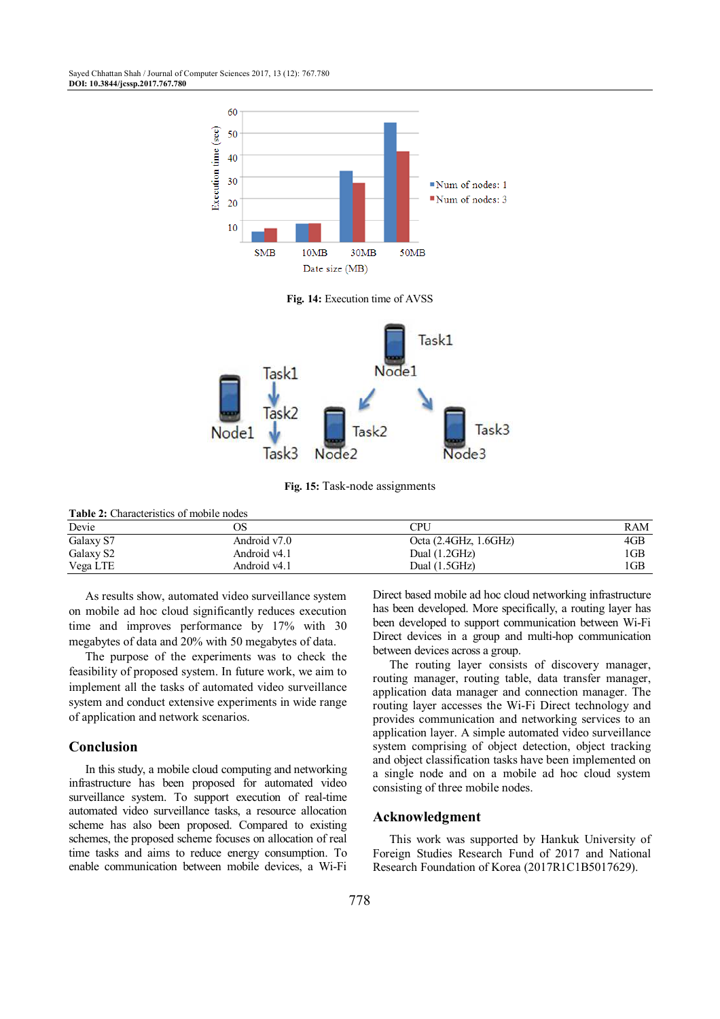



**Fig. 15:** Task-node assignments

|  | <b>Table 2:</b> Characteristics of mobile nodes |  |  |
|--|-------------------------------------------------|--|--|
|  |                                                 |  |  |

| Devie     | ЭS           | CPU                   | RAM |
|-----------|--------------|-----------------------|-----|
| Galaxy S7 | Android v7.0 | Octa (2.4GHz, 1.6GHz) | 4GB |
| Galaxy S2 | Android v4.1 | Dual $(1.2GHz)$       | 1GB |
| Vega LTE  | Android v4.1 | Dual $(1.5GHz)$       | 1GB |

As results show, automated video surveillance system on mobile ad hoc cloud significantly reduces execution time and improves performance by 17% with 30 megabytes of data and 20% with 50 megabytes of data.

The purpose of the experiments was to check the feasibility of proposed system. In future work, we aim to implement all the tasks of automated video surveillance system and conduct extensive experiments in wide range of application and network scenarios.

# **Conclusion**

In this study, a mobile cloud computing and networking infrastructure has been proposed for automated video surveillance system. To support execution of real-time automated video surveillance tasks, a resource allocation scheme has also been proposed. Compared to existing schemes, the proposed scheme focuses on allocation of real time tasks and aims to reduce energy consumption. To enable communication between mobile devices, a Wi-Fi Direct based mobile ad hoc cloud networking infrastructure has been developed. More specifically, a routing layer has been developed to support communication between Wi-Fi Direct devices in a group and multi-hop communication between devices across a group.

The routing layer consists of discovery manager, routing manager, routing table, data transfer manager, application data manager and connection manager. The routing layer accesses the Wi-Fi Direct technology and provides communication and networking services to an application layer. A simple automated video surveillance system comprising of object detection, object tracking and object classification tasks have been implemented on a single node and on a mobile ad hoc cloud system consisting of three mobile nodes.

#### **Acknowledgment**

This work was supported by Hankuk University of Foreign Studies Research Fund of 2017 and National Research Foundation of Korea (2017R1C1B5017629).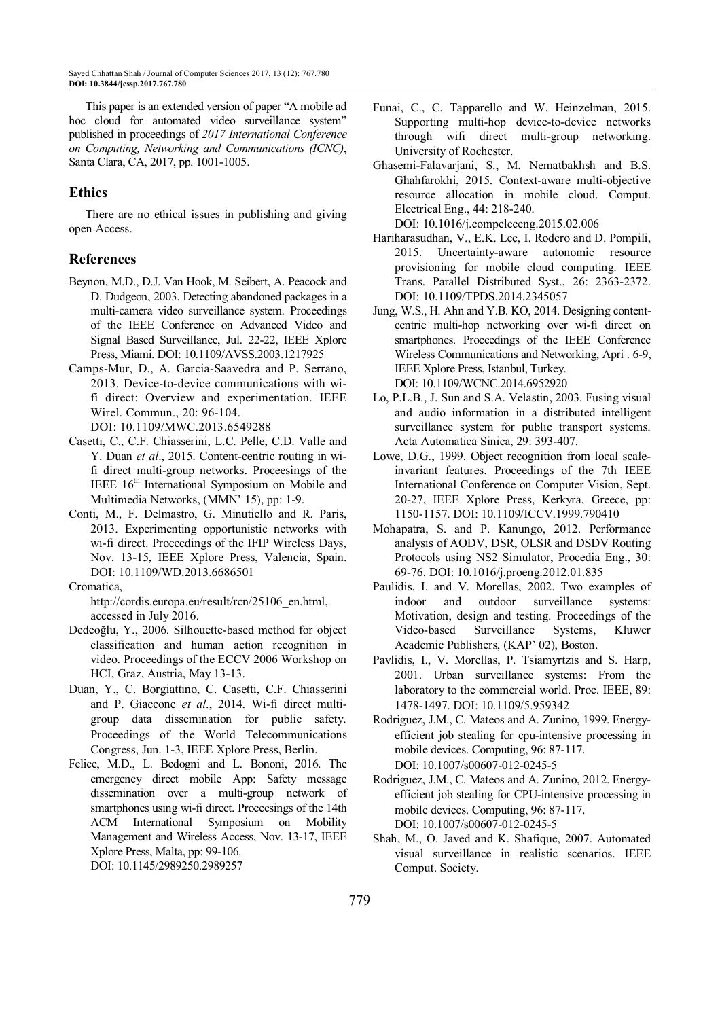This paper is an extended version of paper "A mobile ad hoc cloud for automated video surveillance system" published in proceedings of *2017 International Conference on Computing, Networking and Communications (ICNC)*, Santa Clara, CA, 2017, pp. 1001-1005.

# **Ethics**

There are no ethical issues in publishing and giving open Access.

# **References**

- Beynon, M.D., D.J. Van Hook, M. Seibert, A. Peacock and D. Dudgeon, 2003. Detecting abandoned packages in a multi-camera video surveillance system. Proceedings of the IEEE Conference on Advanced Video and Signal Based Surveillance, Jul. 22-22, IEEE Xplore Press, Miami. DOI: 10.1109/AVSS.2003.1217925
- Camps-Mur, D., A. Garcia-Saavedra and P. Serrano, 2013. Device-to-device communications with wifi direct: Overview and experimentation. IEEE Wirel. Commun., 20: 96-104.

DOI: 10.1109/MWC.2013.6549288

- Casetti, C., C.F. Chiasserini, L.C. Pelle, C.D. Valle and Y. Duan *et al*., 2015. Content-centric routing in wifi direct multi-group networks. Proceesings of the IEEE 16<sup>th</sup> International Symposium on Mobile and Multimedia Networks, (MMN' 15), pp: 1-9.
- Conti, M., F. Delmastro, G. Minutiello and R. Paris, 2013. Experimenting opportunistic networks with wi-fi direct. Proceedings of the IFIP Wireless Days, Nov. 13-15, IEEE Xplore Press, Valencia, Spain. DOI: 10.1109/WD.2013.6686501

Cromatica,

http://cordis.europa.eu/result/rcn/25106\_en.html, accessed in July 2016.

- Dedeoğlu, Y., 2006. Silhouette-based method for object classification and human action recognition in video. Proceedings of the ECCV 2006 Workshop on HCI, Graz, Austria, May 13-13.
- Duan, Y., C. Borgiattino, C. Casetti, C.F. Chiasserini and P. Giaccone *et al*., 2014. Wi-fi direct multigroup data dissemination for public safety. Proceedings of the World Telecommunications Congress, Jun. 1-3, IEEE Xplore Press, Berlin.
- Felice, M.D., L. Bedogni and L. Bononi, 2016. The emergency direct mobile App: Safety message dissemination over a multi-group network of smartphones using wi-fi direct. Proceesings of the 14th ACM International Symposium on Mobility Management and Wireless Access, Nov. 13-17, IEEE Xplore Press, Malta, pp: 99-106. DOI: 10.1145/2989250.2989257
- Funai, C., C. Tapparello and W. Heinzelman, 2015. Supporting multi-hop device-to-device networks through wifi direct multi-group networking. University of Rochester.
- Ghasemi-Falavarjani, S., M. Nematbakhsh and B.S. Ghahfarokhi, 2015. Context-aware multi-objective resource allocation in mobile cloud. Comput. Electrical Eng., 44: 218-240.

DOI: 10.1016/j.compeleceng.2015.02.006

- Hariharasudhan, V., E.K. Lee, I. Rodero and D. Pompili, 2015. Uncertainty-aware autonomic resource provisioning for mobile cloud computing. IEEE Trans. Parallel Distributed Syst., 26: 2363-2372. DOI: 10.1109/TPDS.2014.2345057
- Jung, W.S., H. Ahn and Y.B. KO, 2014. Designing contentcentric multi-hop networking over wi-fi direct on smartphones. Proceedings of the IEEE Conference Wireless Communications and Networking, Apri . 6-9, IEEE Xplore Press, Istanbul, Turkey. DOI: 10.1109/WCNC.2014.6952920
- Lo, P.L.B., J. Sun and S.A. Velastin, 2003. Fusing visual and audio information in a distributed intelligent surveillance system for public transport systems. Acta Automatica Sinica, 29: 393-407.
- Lowe, D.G., 1999. Object recognition from local scaleinvariant features. Proceedings of the 7th IEEE International Conference on Computer Vision, Sept. 20-27, IEEE Xplore Press, Kerkyra, Greece, pp: 1150-1157. DOI: 10.1109/ICCV.1999.790410
- Mohapatra, S. and P. Kanungo, 2012. Performance analysis of AODV, DSR, OLSR and DSDV Routing Protocols using NS2 Simulator, Procedia Eng., 30: 69-76. DOI: 10.1016/j.proeng.2012.01.835
- Paulidis, I. and V. Morellas, 2002. Two examples of indoor and outdoor surveillance systems: Motivation, design and testing. Proceedings of the Video-based Surveillance Systems, Kluwer Academic Publishers, (KAP' 02), Boston.
- Pavlidis, I., V. Morellas, P. Tsiamyrtzis and S. Harp, 2001. Urban surveillance systems: From the laboratory to the commercial world. Proc. IEEE, 89: 1478-1497. DOI: 10.1109/5.959342
- Rodriguez, J.M., C. Mateos and A. Zunino, 1999. Energyefficient job stealing for cpu-intensive processing in mobile devices. Computing, 96: 87-117. DOI: 10.1007/s00607-012-0245-5
- Rodriguez, J.M., C. Mateos and A. Zunino, 2012. Energyefficient job stealing for CPU-intensive processing in mobile devices. Computing, 96: 87-117. DOI: 10.1007/s00607-012-0245-5
- Shah, M., O. Javed and K. Shafique, 2007. Automated visual surveillance in realistic scenarios. IEEE Comput. Society.